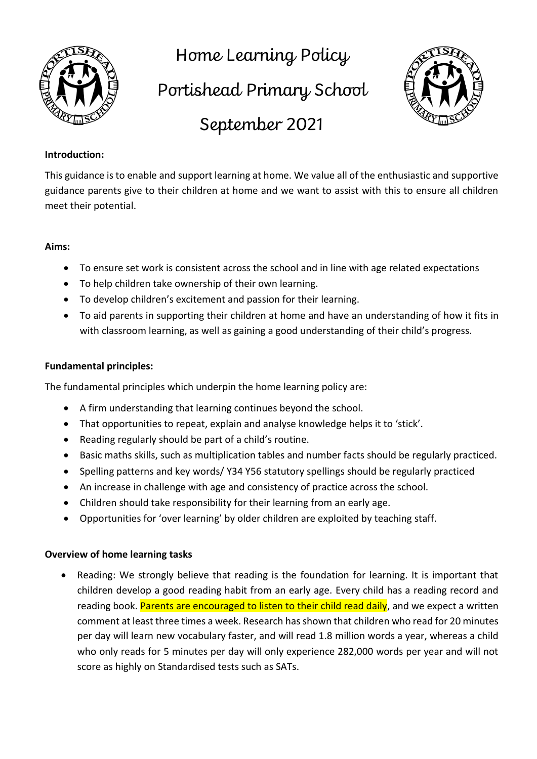

Home Learning Policy

Portishead Primary School



September 2021

## **Introduction:**

This guidance is to enable and support learning at home. We value all of the enthusiastic and supportive guidance parents give to their children at home and we want to assist with this to ensure all children meet their potential.

### **Aims:**

- To ensure set work is consistent across the school and in line with age related expectations
- To help children take ownership of their own learning.
- To develop children's excitement and passion for their learning.
- To aid parents in supporting their children at home and have an understanding of how it fits in with classroom learning, as well as gaining a good understanding of their child's progress.

### **Fundamental principles:**

The fundamental principles which underpin the home learning policy are:

- A firm understanding that learning continues beyond the school.
- That opportunities to repeat, explain and analyse knowledge helps it to 'stick'.
- Reading regularly should be part of a child's routine.
- Basic maths skills, such as multiplication tables and number facts should be regularly practiced.
- Spelling patterns and key words/ Y34 Y56 statutory spellings should be regularly practiced
- An increase in challenge with age and consistency of practice across the school.
- Children should take responsibility for their learning from an early age.
- Opportunities for 'over learning' by older children are exploited by teaching staff.

#### **Overview of home learning tasks**

• Reading: We strongly believe that reading is the foundation for learning. It is important that children develop a good reading habit from an early age. Every child has a reading record and reading book. Parents are encouraged to listen to their child read daily, and we expect a written comment at least three times a week. Research has shown that children who read for 20 minutes per day will learn new vocabulary faster, and will read 1.8 million words a year, whereas a child who only reads for 5 minutes per day will only experience 282,000 words per year and will not score as highly on Standardised tests such as SATs.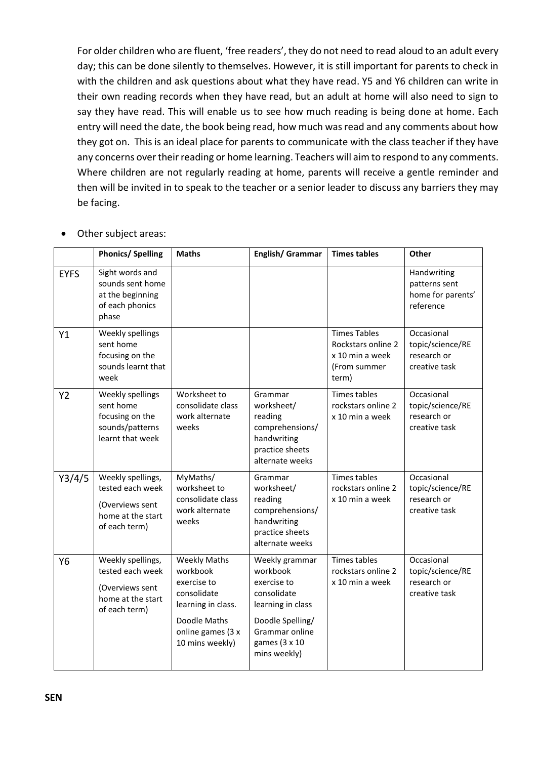For older children who are fluent, 'free readers', they do not need to read aloud to an adult every day; this can be done silently to themselves. However, it is still important for parents to check in with the children and ask questions about what they have read. Y5 and Y6 children can write in their own reading records when they have read, but an adult at home will also need to sign to say they have read. This will enable us to see how much reading is being done at home. Each entry will need the date, the book being read, how much was read and any comments about how they got on. This is an ideal place for parents to communicate with the class teacher if they have any concerns over their reading or home learning. Teachers will aim to respond to any comments. Where children are not regularly reading at home, parents will receive a gentle reminder and then will be invited in to speak to the teacher or a senior leader to discuss any barriers they may be facing.

• Other subject areas:

|                | <b>Phonics/Spelling</b>                                                                        | <b>Maths</b>                                                                                                                                | English/ Grammar                                                                                                                                     | <b>Times tables</b>                                                                   | Other                                                          |
|----------------|------------------------------------------------------------------------------------------------|---------------------------------------------------------------------------------------------------------------------------------------------|------------------------------------------------------------------------------------------------------------------------------------------------------|---------------------------------------------------------------------------------------|----------------------------------------------------------------|
| <b>EYFS</b>    | Sight words and<br>sounds sent home<br>at the beginning<br>of each phonics<br>phase            |                                                                                                                                             |                                                                                                                                                      |                                                                                       | Handwriting<br>patterns sent<br>home for parents'<br>reference |
| Y1             | Weekly spellings<br>sent home<br>focusing on the<br>sounds learnt that<br>week                 |                                                                                                                                             |                                                                                                                                                      | <b>Times Tables</b><br>Rockstars online 2<br>x 10 min a week<br>(From summer<br>term) | Occasional<br>topic/science/RE<br>research or<br>creative task |
| <b>Y2</b>      | Weekly spellings<br>sent home<br>focusing on the<br>sounds/patterns<br>learnt that week        | Worksheet to<br>consolidate class<br>work alternate<br>weeks                                                                                | Grammar<br>worksheet/<br>reading<br>comprehensions/<br>handwriting<br>practice sheets<br>alternate weeks                                             | <b>Times tables</b><br>rockstars online 2<br>x 10 min a week                          | Occasional<br>topic/science/RE<br>research or<br>creative task |
| Y3/4/5         | Weekly spellings,<br>tested each week<br>(Overviews sent<br>home at the start<br>of each term) | MyMaths/<br>worksheet to<br>consolidate class<br>work alternate<br>weeks                                                                    | Grammar<br>worksheet/<br>reading<br>comprehensions/<br>handwriting<br>practice sheets<br>alternate weeks                                             | <b>Times tables</b><br>rockstars online 2<br>x 10 min a week                          | Occasional<br>topic/science/RE<br>research or<br>creative task |
| Y <sub>6</sub> | Weekly spellings,<br>tested each week<br>(Overviews sent<br>home at the start<br>of each term) | <b>Weekly Maths</b><br>workbook<br>exercise to<br>consolidate<br>learning in class.<br>Doodle Maths<br>online games (3 x<br>10 mins weekly) | Weekly grammar<br>workbook<br>exercise to<br>consolidate<br>learning in class<br>Doodle Spelling/<br>Grammar online<br>games (3 x 10<br>mins weekly) | <b>Times tables</b><br>rockstars online 2<br>x 10 min a week                          | Occasional<br>topic/science/RE<br>research or<br>creative task |